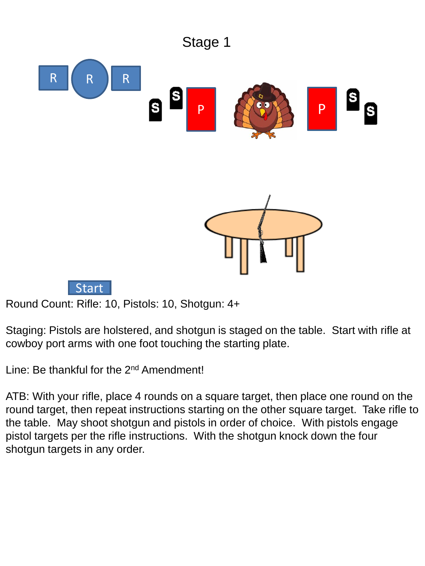

Staging: Pistols are holstered, and shotgun is staged on the table. Start with rifle at cowboy port arms with one foot touching the starting plate.

Line: Be thankful for the 2<sup>nd</sup> Amendment!

ATB: With your rifle, place 4 rounds on a square target, then place one round on the round target, then repeat instructions starting on the other square target. Take rifle to the table. May shoot shotgun and pistols in order of choice. With pistols engage pistol targets per the rifle instructions. With the shotgun knock down the four shotgun targets in any order.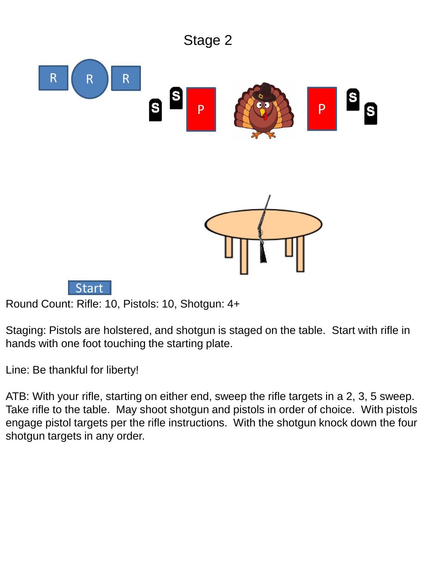

Staging: Pistols are holstered, and shotgun is staged on the table. Start with rifle in hands with one foot touching the starting plate.

Line: Be thankful for liberty!

ATB: With your rifle, starting on either end, sweep the rifle targets in a 2, 3, 5 sweep. Take rifle to the table. May shoot shotgun and pistols in order of choice. With pistols engage pistol targets per the rifle instructions. With the shotgun knock down the four shotgun targets in any order.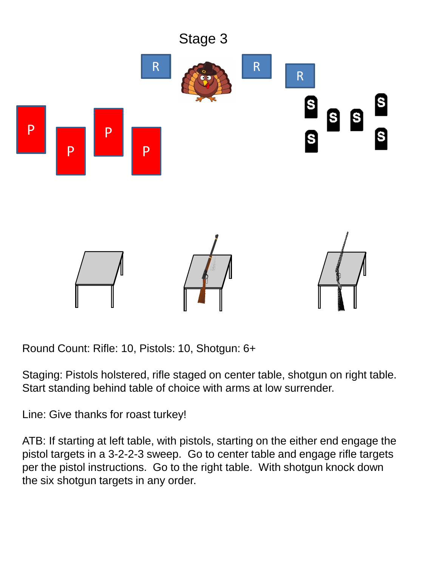

Staging: Pistols holstered, rifle staged on center table, shotgun on right table. Start standing behind table of choice with arms at low surrender.

Line: Give thanks for roast turkey!

ATB: If starting at left table, with pistols, starting on the either end engage the pistol targets in a 3-2-2-3 sweep. Go to center table and engage rifle targets per the pistol instructions. Go to the right table. With shotgun knock down the six shotgun targets in any order.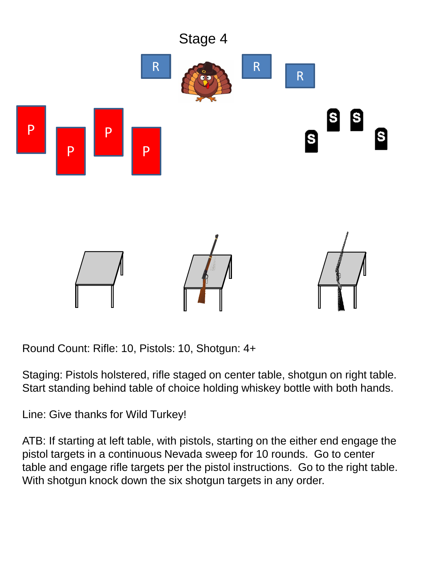

Staging: Pistols holstered, rifle staged on center table, shotgun on right table. Start standing behind table of choice holding whiskey bottle with both hands.

Line: Give thanks for Wild Turkey!

ATB: If starting at left table, with pistols, starting on the either end engage the pistol targets in a continuous Nevada sweep for 10 rounds. Go to center table and engage rifle targets per the pistol instructions. Go to the right table. With shotgun knock down the six shotgun targets in any order.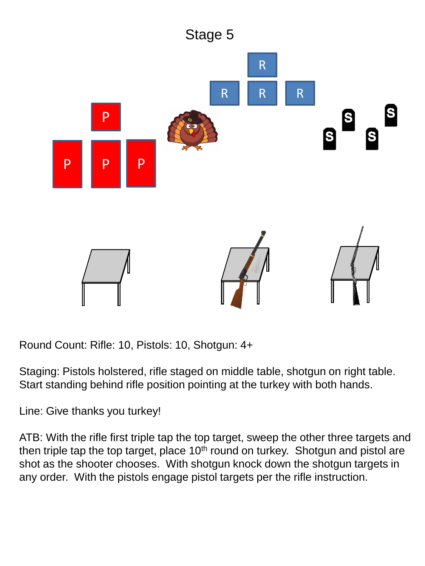

Staging: Pistols holstered, rifle staged on middle table, shotgun on right table. Start standing behind rifle position pointing at the turkey with both hands.

Line: Give thanks you turkey!

ATB: With the rifle first triple tap the top target, sweep the other three targets and then triple tap the top target, place  $10<sup>th</sup>$  round on turkey. Shotgun and pistol are shot as the shooter chooses. With shotgun knock down the shotgun targets in any order. With the pistols engage pistol targets per the rifle instruction.